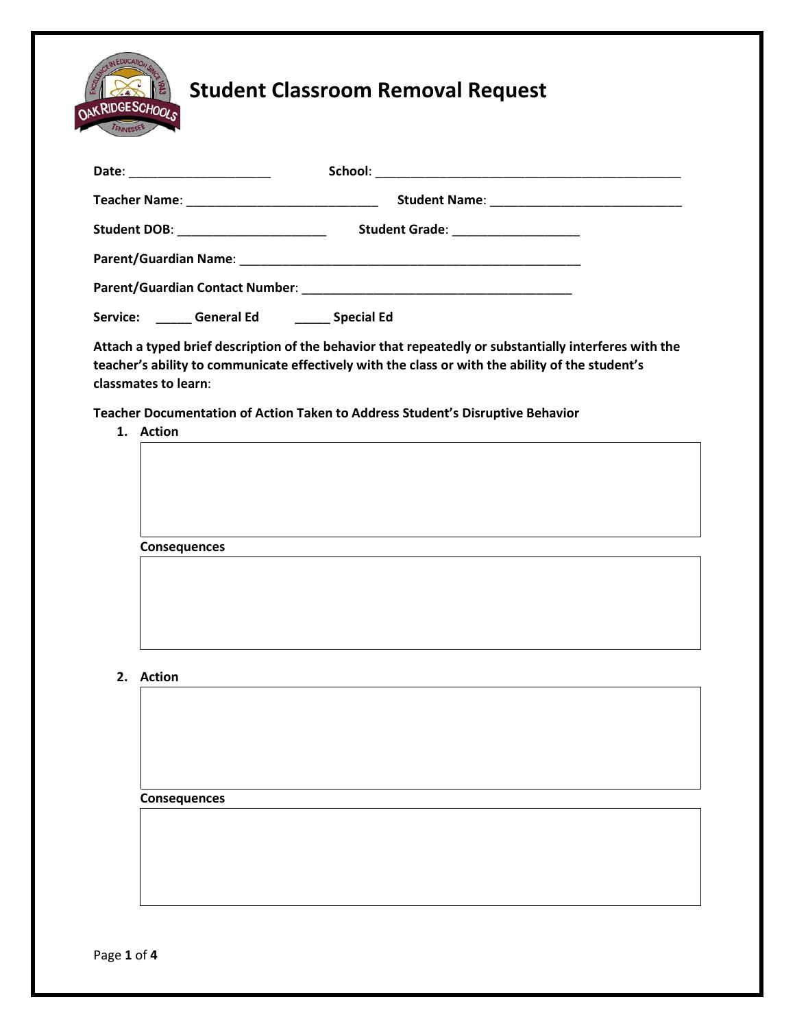

| Date: ______________________         |                                     |  |
|--------------------------------------|-------------------------------------|--|
|                                      |                                     |  |
| Student DOB: _______________________ | Student Grade: ____________________ |  |
|                                      |                                     |  |
|                                      |                                     |  |
| Service:<br><b>General Ed</b>        | <b>Special Ed</b>                   |  |

**Attach a typed brief description of the behavior that repeatedly or substantially interferes with the teacher's ability to communicate effectively with the class or with the ability of the student's classmates to learn**:

**Teacher Documentation of Action Taken to Address Student's Disruptive Behavior**

**1. Action**

| .                   |  |  |
|---------------------|--|--|
|                     |  |  |
|                     |  |  |
|                     |  |  |
|                     |  |  |
|                     |  |  |
|                     |  |  |
|                     |  |  |
|                     |  |  |
| <b>Consequences</b> |  |  |
|                     |  |  |
|                     |  |  |
|                     |  |  |
|                     |  |  |
|                     |  |  |
|                     |  |  |
|                     |  |  |

**2. Action**

**Consequences**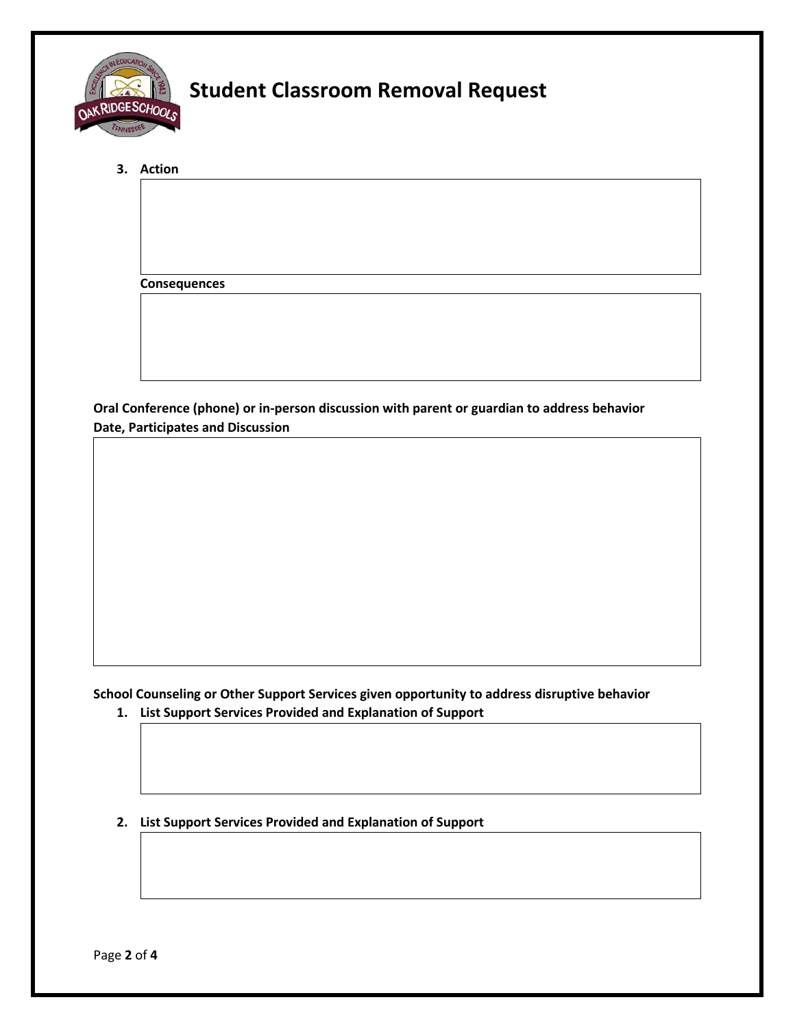

**3. Action**

**Consequences**

**Oral Conference (phone) or in-person discussion with parent or guardian to address behavior Date, Participates and Discussion**

**School Counseling or Other Support Services given opportunity to address disruptive behavior**

- **1. List Support Services Provided and Explanation of Support**
- **2. List Support Services Provided and Explanation of Support**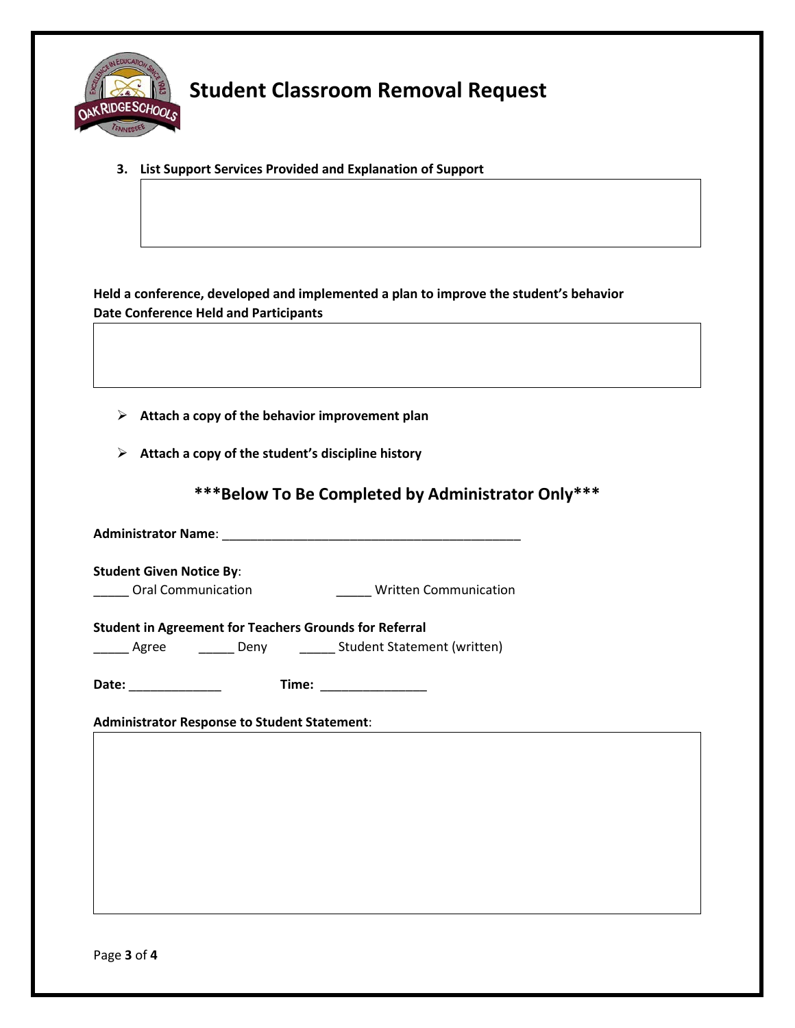

**3. List Support Services Provided and Explanation of Support**

**Held a conference, developed and implemented a plan to improve the student's behavior Date Conference Held and Participants**

- **Attach a copy of the behavior improvement plan**
- **Attach a copy of the student's discipline history**

**\*\*\*Below To Be Completed by Administrator Only\*\*\***

**Administrator Name**: \_\_\_\_\_\_\_\_\_\_\_\_\_\_\_\_\_\_\_\_\_\_\_\_\_\_\_\_\_\_\_\_\_\_\_\_\_\_\_\_\_\_

**Student Given Notice By**: \_\_\_\_\_ Oral Communication \_\_\_\_\_ Written Communication

**Student in Agreement for Teachers Grounds for Referral**

\_\_\_\_\_\_ Agree \_\_\_\_\_\_\_\_ Deny \_\_\_\_\_\_\_ Student Statement (written)

**Date:** \_\_\_\_\_\_\_\_\_\_\_\_\_ **Time:** \_\_\_\_\_\_\_\_\_\_\_\_\_\_\_

**Administrator Response to Student Statement**: